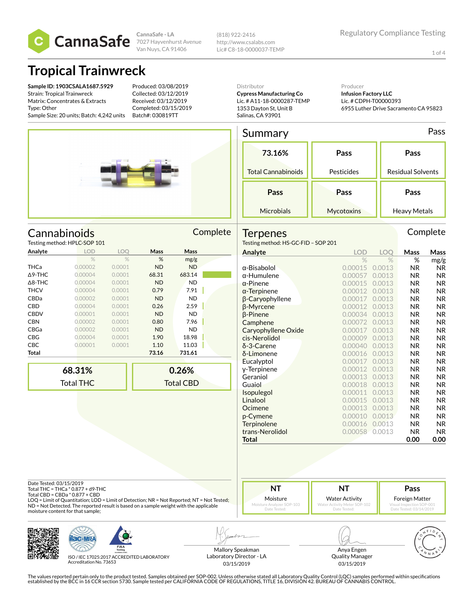

**CannaSafe - LA** Van Nuys, CA 91406 (818) 922-2416 http://www.csalabs.com Lic# C8-18-0000037-TEMP

1 of 4

### **Tropical Trainwreck**

**Sample ID: 1903CSALA1687.5929** Strain: Tropical Trainwreck Matrix: Concentrates & Extracts Type: Other Sample Size: 20 units; Batch: 4,242 units

Produced: 03/08/2019 Collected: 03/12/2019 Received: 03/12/2019 Completed: 03/15/2019 Batch#: 030819TT

Distributor **Cypress Manufacturing Co** Lic. # A11-18-0000287-TEMP 1353 Dayton St, Unit B

Producer **Infusion Factory LLC** Lic. # CDPH-T00000393 6955 Luther Drive Sacramento CA 95823

#### Summary Pass

Salinas, CA 93901

| 73.16%                    | Pass       | Pass                     |
|---------------------------|------------|--------------------------|
| <b>Total Cannabinoids</b> | Pesticides | <b>Residual Solvents</b> |
|                           |            |                          |
| Pass                      | Pass       | Pass                     |

|                   | Cannabinoids<br>Testing method: HPLC-SOP 101 |            |           |           | Complete |
|-------------------|----------------------------------------------|------------|-----------|-----------|----------|
| Analyte           | <b>LOD</b>                                   | <b>LOO</b> | Mass      | Mass      |          |
|                   | $\%$                                         | $\%$       | %         | mg/g      |          |
| <b>THCa</b>       | 0.00002                                      | 0.0001     | <b>ND</b> | <b>ND</b> |          |
| $\triangle$ 9-THC | 0.00004                                      | 0.0001     | 68.31     | 683.14    |          |
| $\triangle$ 8-THC | 0.00004                                      | 0.0001     | <b>ND</b> | <b>ND</b> |          |
| <b>THCV</b>       | 0.00004                                      | 0.0001     | 0.79      | 7.91      |          |
| CBDa              | 0.00002                                      | 0.0001     | <b>ND</b> | <b>ND</b> |          |
| <b>CBD</b>        | 0.00004                                      | 0.0001     | 0.26      | 2.59      |          |
| <b>CBDV</b>       | 0.00001                                      | 0.0001     | <b>ND</b> | <b>ND</b> |          |
|                   |                                              |            |           |           |          |

|                | 68.31%  |        |           | 0.26%     | γ.       |
|----------------|---------|--------|-----------|-----------|----------|
|                |         |        |           |           | E        |
| Total          |         |        | 73.16     | 731.61    | δ        |
| CBC            | 0.00001 | 0.0001 | 1.10      | 11.03     | δ        |
| CBG            | 0.00004 | 0.0001 | 1.90      | 18.98     | ci       |
| CBGa           | 0.00002 | 0.0001 | <b>ND</b> | <b>ND</b> | C        |
| CBN            | 0.00002 | 0.0001 | 0.80      | 7.96      | С        |
| CBDV           | 0.00001 | 0.0001 | <b>ND</b> | <b>ND</b> | β        |
| CBD            | 0.00004 | 0.0001 | 0.26      | 2.59      | β        |
| CBDa           | 0.00002 | 0.0001 | <b>ND</b> | <b>ND</b> | β        |
| THCV           | 0.00004 | 0.0001 | 0.79      | 7.91      | α        |
| $\Delta$ 8-THC | 0.00004 | 0.0001 | <b>ND</b> | <b>ND</b> | $\alpha$ |
| ∆9-THC         | 0.00004 | 0.0001 | 68.31     | 683.14    | α        |
| THCa           | 0.00002 | 0.0001 | <b>ND</b> | <b>ND</b> | α        |
|                |         |        |           | ס יסי י   |          |

| 68.31%    | 0.26%            |
|-----------|------------------|
| Total THC | <b>Total CBD</b> |
|           |                  |

| <b>Terpenes</b><br>Testing method: HS-GC-FID - SOP 201 |               |               |           | Complete       |
|--------------------------------------------------------|---------------|---------------|-----------|----------------|
| Analyte                                                | <b>LOD</b>    | <b>LOO</b>    | Mass      | Mass           |
|                                                        | $\frac{0}{6}$ | $\frac{0}{2}$ | %         | mg/g           |
| $\alpha$ -Bisabolol                                    | 0.00015       | 0.0013        | <b>NR</b> | <b>NR</b>      |
| $\alpha$ -Humulene                                     | 0.00057       | 0.0013        | <b>NR</b> | N <sub>R</sub> |
| $\alpha$ -Pinene                                       | 0.00015       | 0.0013        | <b>NR</b> | <b>NR</b>      |
| $\alpha$ -Terpinene                                    | 0.00012       | 0.0013        | <b>NR</b> | N <sub>R</sub> |
| β-Caryophyllene                                        | 0.00017       | 0.0013        | <b>NR</b> | <b>NR</b>      |
| β-Myrcene                                              | 0.00012       | 0.0013        | <b>NR</b> | <b>NR</b>      |
| β-Pinene                                               | 0.00034       | 0.0013        | <b>NR</b> | NR.            |
| Camphene                                               | 0.00072       | 0.0013        | <b>NR</b> | <b>NR</b>      |
| Caryophyllene Oxide                                    | 0.00017       | 0.0013        | <b>NR</b> | NR.            |
| cis-Nerolidol                                          | 0.00009       | 0.0013        | <b>NR</b> | <b>NR</b>      |
| $\delta$ -3-Carene                                     | 0.00040       | 0.0013        | <b>NR</b> | <b>NR</b>      |
| δ-Limonene                                             | 0.00016       | 0.0013        | <b>NR</b> | N <sub>R</sub> |
| Eucalyptol                                             | 0.00017       | 0.0013        | <b>NR</b> | <b>NR</b>      |
| y-Terpinene                                            | 0.00012       | 0.0013        | <b>NR</b> | N <sub>R</sub> |
| Geraniol                                               | 0.00013       | 0.0013        | <b>NR</b> | <b>NR</b>      |
| Guaiol                                                 | 0.00018       | 0.0013        | <b>NR</b> | <b>NR</b>      |
| Isopulegol                                             | 0.00011       | 0.0013        | <b>NR</b> | <b>NR</b>      |
| Linalool                                               | 0.00015       | 0.0013        | <b>NR</b> | <b>NR</b>      |
| Ocimene                                                | 0.00013       | 0.0013        | ΝR        | NR.            |
| p-Cymene                                               | 0.00010       | 0.0013        | <b>NR</b> | <b>NR</b>      |
| Terpinolene                                            | 0.00016       | 0.0013        | <b>NR</b> | N <sub>R</sub> |
| trans-Nerolidol                                        | 0.00058       | 0.0013        | <b>NR</b> | NR.            |
| <b>Total</b>                                           |               |               | 0.00      | 0.00           |
|                                                        |               |               |           |                |

Date Tested: 03/15/2019

Total THC = THCa \* 0.877 + d9-THC Total CBD = CBDa \* 0.877 + CBD

LOQ = Limit of Quantitation; LOD = Limit of Detection; NR = Not Reported; NT = Not Tested; ND = Not Detected. The reported result is based on a sample weight with the applicable moisture content for that sample;



Water Activity

**Pass** Foreign Matter

Visual Inspection SOP-001 Date Tested: 03/14/2019





ISO / IEC 17025:2017 ACCREDITED LABORATORY Accreditation No. 73653

Mallory Speakman Laboratory Director - LA 03/15/2019

Anya Engen Quality Manager 03/15/2019

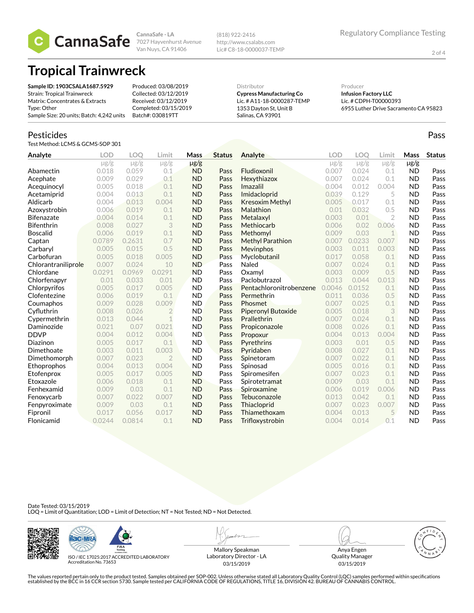2 of 4

Pass

**CannaSafe - LA** 7027 Hayvenhurst Avenue Van Nuys, CA 91406

(818) 922-2416 http://www.csalabs.com Lic# C8-18-0000037-TEMP

# **Tropical Trainwreck**

| Sample ID: 1903CSALA1687.5929             | Produced: 03/08/2019  | Distributor                     | Producer                              |
|-------------------------------------------|-----------------------|---------------------------------|---------------------------------------|
| Strain: Tropical Trainwreck               | Collected: 03/12/2019 | <b>Cypress Manufacturing Co</b> | <b>Infusion Factory LLC</b>           |
| Matrix: Concentrates & Extracts           | Received: 03/12/2019  | Lic. # A11-18-0000287-TEMP      | Lic. # CDPH-T00000393                 |
| Type: Other                               | Completed: 03/15/2019 | 1353 Davton St. Unit B          | 6955 Luther Drive Sacramento CA 95823 |
| Sample Size: 20 units; Batch: 4,242 units | Batch#: 030819TT      | Salinas, CA 93901               |                                       |

#### Pesticides

Test Method: LCMS & GCMS-SOP 301

| Analyte             | <b>LOD</b> | <b>LOO</b> | Limit          | Mass      | <b>Status</b> | Analyte                   | <b>LOD</b> | <b>LOO</b> | Limit          | Mass      | <b>Status</b> |
|---------------------|------------|------------|----------------|-----------|---------------|---------------------------|------------|------------|----------------|-----------|---------------|
|                     | $\mu$ g/g  | $\mu$ g/g  | $\mu$ g/g      | $\mu$ g/g |               |                           | $\mu$ g/g  | $\mu$ g/g  | $\mu$ g/g      | $\mu$ g/g |               |
| Abamectin           | 0.018      | 0.059      | 0.1            | <b>ND</b> | Pass          | Fludioxonil               | 0.007      | 0.024      | 0.1            | <b>ND</b> | Pass          |
| Acephate            | 0.009      | 0.029      | 0.1            | <b>ND</b> | Pass          | Hexythiazox               | 0.007      | 0.024      | 0.1            | <b>ND</b> | Pass          |
| Acequinocyl         | 0.005      | 0.018      | 0.1            | <b>ND</b> | Pass          | Imazalil                  | 0.004      | 0.012      | 0.004          | <b>ND</b> | Pass          |
| Acetamiprid         | 0.004      | 0.013      | 0.1            | <b>ND</b> | Pass          | Imidacloprid              | 0.039      | 0.129      | 5              | <b>ND</b> | Pass          |
| Aldicarb            | 0.004      | 0.013      | 0.004          | <b>ND</b> | Pass          | <b>Kresoxim Methyl</b>    | 0.005      | 0.017      | 0.1            | <b>ND</b> | Pass          |
| Azoxystrobin        | 0.006      | 0.019      | 0.1            | <b>ND</b> | Pass          | Malathion                 | 0.01       | 0.032      | 0.5            | <b>ND</b> | Pass          |
| <b>Bifenazate</b>   | 0.004      | 0.014      | 0.1            | <b>ND</b> | Pass          | Metalaxyl                 | 0.003      | 0.01       | $\overline{2}$ | <b>ND</b> | Pass          |
| <b>Bifenthrin</b>   | 0.008      | 0.027      | 3              | <b>ND</b> | Pass          | Methiocarb                | 0.006      | 0.02       | 0.006          | <b>ND</b> | Pass          |
| <b>Boscalid</b>     | 0.006      | 0.019      | 0.1            | <b>ND</b> | Pass          | Methomyl                  | 0.009      | 0.03       | $\mathbf 1$    | <b>ND</b> | Pass          |
| Captan              | 0.0789     | 0.2631     | 0.7            | <b>ND</b> | Pass          | <b>Methyl Parathion</b>   | 0.007      | 0.0233     | 0.007          | <b>ND</b> | Pass          |
| Carbaryl            | 0.005      | 0.015      | 0.5            | <b>ND</b> | Pass          | Mevinphos                 | 0.003      | 0.011      | 0.003          | <b>ND</b> | Pass          |
| Carbofuran          | 0.005      | 0.018      | 0.005          | <b>ND</b> | Pass          | Myclobutanil              | 0.017      | 0.058      | 0.1            | <b>ND</b> | Pass          |
| Chlorantraniliprole | 0.007      | 0.024      | 10             | <b>ND</b> | Pass          | Naled                     | 0.007      | 0.024      | 0.1            | <b>ND</b> | Pass          |
| Chlordane           | 0.0291     | 0.0969     | 0.0291         | <b>ND</b> | Pass          | Oxamyl                    | 0.003      | 0.009      | 0.5            | <b>ND</b> | Pass          |
| Chlorfenapyr        | 0.01       | 0.033      | 0.01           | <b>ND</b> | Pass          | Paclobutrazol             | 0.013      | 0.044      | 0.013          | <b>ND</b> | Pass          |
| Chlorpyrifos        | 0.005      | 0.017      | 0.005          | <b>ND</b> | Pass          | Pentachloronitrobenzene   | 0.0046     | 0.0152     | 0.1            | <b>ND</b> | Pass          |
| Clofentezine        | 0.006      | 0.019      | 0.1            | <b>ND</b> | Pass          | Permethrin                | 0.011      | 0.036      | 0.5            | <b>ND</b> | Pass          |
| Coumaphos           | 0.009      | 0.028      | 0.009          | <b>ND</b> | Pass          | Phosmet                   | 0.007      | 0.025      | 0.1            | <b>ND</b> | Pass          |
| Cyfluthrin          | 0.008      | 0.026      | $\overline{2}$ | <b>ND</b> | Pass          | <b>Piperonyl Butoxide</b> | 0.005      | 0.018      | 3              | <b>ND</b> | Pass          |
| Cypermethrin        | 0.013      | 0.044      | $\mathcal{I}$  | <b>ND</b> | Pass          | Prallethrin               | 0.007      | 0.024      | 0.1            | <b>ND</b> | Pass          |
| Daminozide          | 0.021      | 0.07       | 0.021          | <b>ND</b> | Pass          | Propiconazole             | 0.008      | 0.026      | 0.1            | <b>ND</b> | Pass          |
| <b>DDVP</b>         | 0.004      | 0.012      | 0.004          | <b>ND</b> | Pass          | Propoxur                  | 0.004      | 0.013      | 0.004          | <b>ND</b> | Pass          |
| Diazinon            | 0.005      | 0.017      | 0.1            | <b>ND</b> | Pass          | Pyrethrins                | 0.003      | 0.01       | 0.5            | <b>ND</b> | Pass          |
| Dimethoate          | 0.003      | 0.011      | 0.003          | <b>ND</b> | Pass          | Pyridaben                 | 0.008      | 0.027      | 0.1            | <b>ND</b> | Pass          |
| Dimethomorph        | 0.007      | 0.023      | $\overline{2}$ | <b>ND</b> | Pass          | Spinetoram                | 0.007      | 0.022      | 0.1            | <b>ND</b> | Pass          |
| Ethoprophos         | 0.004      | 0.013      | 0.004          | <b>ND</b> | Pass          | Spinosad                  | 0.005      | 0.016      | 0.1            | <b>ND</b> | Pass          |
| Etofenprox          | 0.005      | 0.017      | 0.005          | <b>ND</b> | Pass          | <b>Spiromesifen</b>       | 0.007      | 0.023      | 0.1            | <b>ND</b> | Pass          |
| Etoxazole           | 0.006      | 0.018      | 0.1            | <b>ND</b> | Pass          | Spirotetramat             | 0.009      | 0.03       | 0.1            | <b>ND</b> | Pass          |
| Fenhexamid          | 0.009      | 0.03       | 0.1            | <b>ND</b> | Pass          | Spiroxamine               | 0.006      | 0.019      | 0.006          | <b>ND</b> | Pass          |
| Fenoxycarb          | 0.007      | 0.022      | 0.007          | <b>ND</b> | Pass          | Tebuconazole              | 0.013      | 0.042      | 0.1            | <b>ND</b> | Pass          |
| Fenpyroximate       | 0.009      | 0.03       | 0.1            | <b>ND</b> | Pass          | Thiacloprid               | 0.007      | 0.023      | 0.007          | <b>ND</b> | Pass          |
| Fipronil            | 0.017      | 0.056      | 0.017          | <b>ND</b> | Pass          | Thiamethoxam              | 0.004      | 0.013      | 5              | <b>ND</b> | Pass          |
| Flonicamid          | 0.0244     | 0.0814     | 0.1            | <b>ND</b> | Pass          | Trifloxystrobin           | 0.004      | 0.014      | 0.1            | <b>ND</b> | Pass          |

Date Tested: 03/15/2019<br>LOQ = Limit of Quantitation; LOD = Limit of Detection; NT = Not Tested; ND = Not Detected.





ISO / IEC 17025:2017 ACCREDITED LABORATORY Accreditation No. 73653

Mallory Speakman Laboratory Director - LA 03/15/2019

Anya Engen Quality Manager 03/15/2019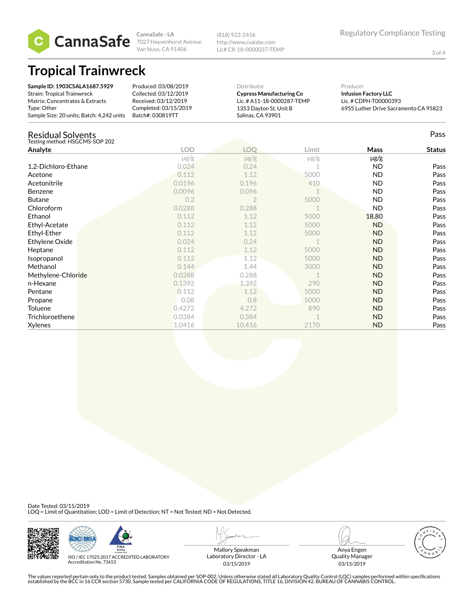

3 of 4

**CannaSafe - LA** 7027 Hayvenhurst Avenue Van Nuys, CA 91406

(818) 922-2416 http://www.csalabs.com Lic# C8-18-0000037-TEMP

## **Tropical Trainwreck**

| Sample ID: 1903CSALA1687.5929<br><b>Strain: Tropical Trainwreck</b><br>Matrix: Concentrates & Extracts<br>Type: Other<br>Sample Size: 20 units; Batch: 4,242 units | Produced: 03/08/2019<br>Collected: 03/12/2019<br>Received: 03/12/2019<br>Completed: 03/15/2019<br>Batch#: 030819TT | Distributor<br>Salinas, CA 93901 | <b>Cypress Manufacturing Co</b><br>Lic. # A11-18-0000287-TEMP<br>1353 Dayton St, Unit B |           | 6955 Luther Drive Sacramento CA 95823 |
|--------------------------------------------------------------------------------------------------------------------------------------------------------------------|--------------------------------------------------------------------------------------------------------------------|----------------------------------|-----------------------------------------------------------------------------------------|-----------|---------------------------------------|
| Residual Solvents<br>Testing method: HSGCMS-SOP 202                                                                                                                |                                                                                                                    |                                  |                                                                                         |           | Pass                                  |
| Analyte                                                                                                                                                            | LOD                                                                                                                | LOO                              | Limit                                                                                   | Mass      | <b>Status</b>                         |
|                                                                                                                                                                    | $\mu$ g/g                                                                                                          | $\mu$ g/g                        | $\mu$ g/g                                                                               | $\mu$ g/g |                                       |

|                     | $\mu$ g/g | $\mu$ g/g      | µg/g | µg/g      |      |
|---------------------|-----------|----------------|------|-----------|------|
| 1,2-Dichloro-Ethane | 0.024     | 0.24           |      | <b>ND</b> | Pass |
| Acetone             | 0.112     | 1.12           | 5000 | ND.       | Pass |
| Acetonitrile        | 0.0196    | 0.196          | 410  | ND.       | Pass |
| <b>Benzene</b>      | 0.0096    | 0.096          |      | ND.       | Pass |
| <b>Butane</b>       | 0.2       | $\overline{2}$ | 5000 | <b>ND</b> | Pass |
| Chloroform          | 0.0288    | 0.288          |      | <b>ND</b> | Pass |
| Ethanol             | 0.112     | 1.12           | 5000 | 18.80     | Pass |
| Ethyl-Acetate       | 0.112     | 1.12           | 5000 | <b>ND</b> | Pass |
| Ethyl-Ether         | 0.112     | 1.12           | 5000 | <b>ND</b> | Pass |
| Ethylene Oxide      | 0.024     | 0.24           |      | ND.       | Pass |
| Heptane             | 0.112     | 1.12           | 5000 | <b>ND</b> | Pass |
| Isopropanol         | 0.112     | 1.12           | 5000 | <b>ND</b> | Pass |
| Methanol            | 0.144     | 1.44           | 3000 | ND.       | Pass |
| Methylene-Chloride  | 0.0288    | 0.288          |      | ND.       | Pass |
| n-Hexane            | 0.1392    | 1.392          | 290  | <b>ND</b> | Pass |
| Pentane             | 0.112     | 1.12           | 5000 | ND.       | Pass |
| Propane             | 0.08      | 0.8            | 5000 | <b>ND</b> | Pass |
| Toluene             | 0.4272    | 4.272          | 890  | ND.       | Pass |
| Trichloroethene     | 0.0384    | 0.384          |      | <b>ND</b> | Pass |
| Xylenes             | 1.0416    | 10.416         | 2170 | <b>ND</b> | Pass |

Date Tested: 03/15/2019<br>LOQ = Limit of Quantitation; LOD = Limit of Detection; NT = Not Tested; ND = Not Detected.





ISO / IEC 17025:2017 ACCREDITED LABORATORY Accreditation No. 73653

Mallory Speakman Laboratory Director - LA 03/15/2019

Anya Engen



Quality Manager 03/15/2019